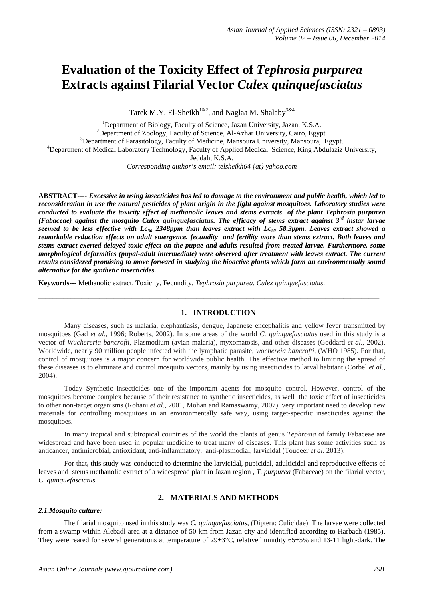# **Evaluation of the Toxicity Effect of** *[Tephrosia purpurea](http://europepmc.org/abstract/MED/23029912/?whatizit_url_Species=http://www.ncbi.nih.gov/Taxonomy/Browser/wwwtax.cgi?id=228354&lvl=0)* **Extracts against Filarial Vector** *Culex quinquefasciatus*

Tarek M.Y. El-Sheikh<sup>1&2</sup>, and Naglaa M. Shalaby<sup>3&4</sup>

<sup>1</sup>Department of Biology, Faculty of Science, Jazan University, Jazan, K.S.A. <sup>2</sup>Department of Zoology, Faculty of Science, Al-Azhar University, Cairo, Egypt. <sup>3</sup>Department of Parasitology, Faculty of Medicine, Mansoura University, Mansoura, Egypt. <sup>4</sup>Department of Medical Laboratory Technology, Faculty of Applied Medical Science, King Abdulaziz University, Jeddah, K.S.A. *Corresponding author's email: telsheikh64 [{at} yahoo.com](mailto:telsheikh64@yahoo.com)*

\_\_\_\_\_\_\_\_\_\_\_\_\_\_\_\_\_\_\_\_\_\_\_\_\_\_\_\_\_\_\_\_\_\_\_\_\_\_\_\_\_\_\_\_\_\_\_\_\_\_\_\_\_\_\_\_\_\_\_\_\_\_\_\_\_\_\_\_\_\_\_\_\_\_\_\_\_\_\_\_\_\_\_\_\_\_\_\_\_\_\_\_\_\_\_

**ABSTRACT----** *Excessive in using insecticides has led to damage to the environment and public health, which led to reconsideration in use the natural pesticides of plant origin in the fight against mosquitoes. Laboratory studies were conducted to evaluate the toxicity effect of methanolic leaves and stems extracts of the plant [Tephrosia purpurea](http://europepmc.org/abstract/MED/23029912/?whatizit_url_Species=http://www.ncbi.nih.gov/Taxonomy/Browser/wwwtax.cgi?id=228354&lvl=0) (Fabaceae) against the mosquito Culex quinquefasciatus. The efficacy of stems extract against 3rd instar larvae seemed to be less effective with Lc50 2348ppm than leaves extract with Lc50 58.3ppm. Leaves extract showed a remarkable reduction effects on adult emergence, fecundity and fertility more than stems extract. Both leaves and stems extract exerted delayed toxic effect on the pupae and adults resulted from treated larvae. Furthermore, some morphological deformities (pupal-adult intermediate) were observed after treatment with leaves extract. The current results considered promising to move forward in studying the bioactive plants which form an environmentally sound alternative for the synthetic insecticides.*

**Keywords---** Methanolic extract, Toxicity, Fecundity, *[Tephrosia purpurea](http://europepmc.org/abstract/MED/23029912/?whatizit_url_Species=http://www.ncbi.nih.gov/Taxonomy/Browser/wwwtax.cgi?id=228354&lvl=0)*, *Culex quinquefasciatus*.

# **1. INTRODUCTION**

\_\_\_\_\_\_\_\_\_\_\_\_\_\_\_\_\_\_\_\_\_\_\_\_\_\_\_\_\_\_\_\_\_\_\_\_\_\_\_\_\_\_\_\_\_\_\_\_\_\_\_\_\_\_\_\_\_\_\_\_\_\_\_\_\_\_\_\_\_\_\_\_\_\_\_\_\_\_\_\_\_\_\_\_\_\_\_\_\_\_\_\_\_\_\_

Many diseases, such as malaria, elephantiasis, dengue, Japanese encephalitis and yellow fever transmitted by mosquitoes (Gad *et al*., 1996; Roberts, 2002). In some areas of the world *C. quinquefasciatus* used in this study is a vector of *Wuchereria bancrofti*, Plasmodium (avian malaria), myxomatosis, and other diseases (Goddard *et al*., 2002). Worldwide, nearly 90 million people infected with the lymphatic parasite, *wochereia bancrofti*, (WHO 1985). For that, control of mosquitoes is a major concern for worldwide public health. The effective method to limiting the spread of these diseases is to eliminate and control mosquito vectors, mainly by using insecticides to larval habitant (Corbel *et al*., 2004).

Today Synthetic insecticides one of the important agents for mosquito control. However, control of the mosquitoes become complex because of their resistance to synthetic insecticides, as well the toxic effect of insecticides to other non-target organisms (Rohani *et al*., 2001, Mohan and Ramaswamy, 2007). very important need to develop new materials for controlling mosquitoes in an environmentally safe way, using target-specific insecticides against the mosquitoes.

In many tropical and subtropical countries of the world the plants of genus *Tephrosia* of family Fabaceae are widespread and have been used in popular medicine to treat many of diseases. This plant has some activities such as anticancer, antimicrobial, antioxidant, anti-inflammatory, anti-plasmodial, larvicidal (Touqeer *et al*. 2013).

For that**,** this study was conducted to determine the larvicidal, pupicidal, adulticidal and reproductive effects of leaves and stems methanolic extract of a widespread plant in Jazan region , *[T. purpurea](http://europepmc.org/abstract/MED/23029912/?whatizit_url_Species=http://www.ncbi.nih.gov/Taxonomy/Browser/wwwtax.cgi?id=228354&lvl=0)* (Fabaceae) on the filarial vector, *C. quinquefasciatus*

# **2. MATERIALS AND METHODS**

## *2.1.Mosquito culture:*

The filarial mosquito used in this study was *C. quinquefasciatus*, (Diptera: Culicidae). The larvae were collected from a swamp within Alebadl area at a distance of 50 km from Jazan city and identified according to Harbach (1985). They were reared for several generations at temperature of 29±3°C, relative humidity 65±5% and 13-11 light-dark. The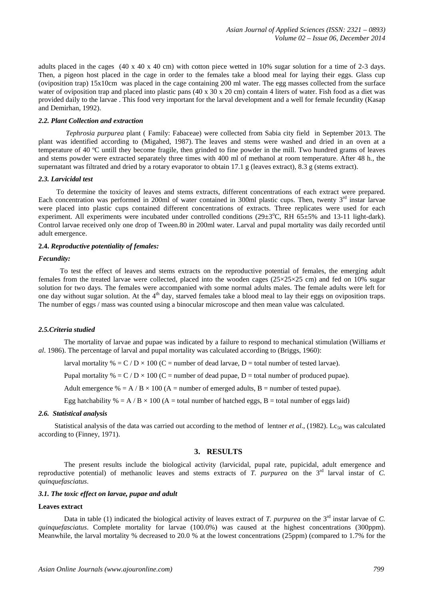adults placed in the cages (40 x 40 x 40 cm) with cotton piece wetted in 10% sugar solution for a time of 2-3 days. Then, a pigeon host placed in the cage in order to the females take a blood meal for laying their eggs. Glass cup (oviposition trap) 15x10cm was placed in the cage containing 200 ml water. The egg masses collected from the surface water of oviposition trap and placed into plastic pans  $(40 \times 30 \times 20 \text{ cm})$  contain 4 liters of water. Fish food as a diet was provided daily to the larvae . This food very important for the larval development and a well for female fecundity (Kasap and Demirhan, 1992).

### *2.2. Plant Collection and extraction*

*[Tephrosia purpurea](http://europepmc.org/abstract/MED/23029912/?whatizit_url_Species=http://www.ncbi.nih.gov/Taxonomy/Browser/wwwtax.cgi?id=228354&lvl=0)* plant ( Family: Fabaceae) were collected from Sabia city field in September 2013. The plant was identified according to (Migahed, 1987). The leaves and stems were washed and dried in an oven at a temperature of 40 ºC untill they become fragile, then grinded to fine powder in the mill. Two hundred grams of leaves and stems powder were extracted separately three times with 400 ml of methanol at room temperature. After 48 h., the supernatant was filtrated and dried by a rotary evaporator to obtain 17.1 g (leaves extract), 8.3 g (stems extract).

#### *2.3. Larvicidal test*

 To determine the toxicity of leaves and stems extracts, different concentrations of each extract were prepared. Each concentration was performed in 200ml of water contained in 300ml plastic cups. Then, twenty 3<sup>rd</sup> instar larvae were placed into plastic cups contained different concentrations of extracts. Three replicates were used for each experiment. All experiments were incubated under controlled conditions (29±3°C, RH 65±5% and 13-11 light-dark). Control larvae received only one drop of Tween.80 in 200ml water. Larval and pupal mortality was daily recorded until adult emergence.

## **2.4.** *Reproductive potentiality of females:*

#### *Fecundity:*

 To test the effect of leaves and stems extracts on the reproductive potential of females, the emerging adult females from the treated larvae were collected, placed into the wooden cages ( $25\times25\times25$  cm) and fed on 10% sugar solution for two days. The females were accompanied with some normal adults males. The female adults were left for one day without sugar solution. At the 4<sup>th</sup> day, starved females take a blood meal to lay their eggs on oviposition traps. The number of eggs / mass was counted using a binocular microscope and then mean value was calculated.

#### *2.5.Criteria studied*

The mortality of larvae and pupae was indicated by a failure to respond to mechanical stimulation (Williams *et al*. 1986). The percentage of larval and pupal mortality was calculated according to (Briggs, 1960):

larval mortality % =  $C / D \times 100$  (C = number of dead larvae, D = total number of tested larvae).

Pupal mortality  $\% = C / D \times 100$  (C = number of dead pupae, D = total number of produced pupae).

Adult emergence % = A / B  $\times$  100 (A = number of emerged adults, B = number of tested pupae).

Egg hatchability  $% = A/B \times 100$  (A = total number of hatched eggs, B = total number of eggs laid)

#### *2.6. Statistical analysis*

Statistical analysis of the data was carried out according to the method of lentner  $et al., (1982)$ . Lc<sub>50</sub> was calculated according to (Finney, 1971).

## **3. RESULTS**

The present results include the biological activity (larvicidal, pupal rate, pupicidal, adult emergence and reproductive potential) of methanolic leaves and stems extracts of *[T. purpurea](http://europepmc.org/abstract/MED/23029912/?whatizit_url_Species=http://www.ncbi.nih.gov/Taxonomy/Browser/wwwtax.cgi?id=228354&lvl=0)* on the 3<sup>rd</sup> larval instar of *C. quinquefasciatus*.

#### *3.1. The toxic effect on larvae, pupae and adult*

#### **Leaves extract**

Data in table (1) indicated the biological activity of leaves extract of *[T. purpurea](http://europepmc.org/abstract/MED/23029912/?whatizit_url_Species=http://www.ncbi.nih.gov/Taxonomy/Browser/wwwtax.cgi?id=228354&lvl=0)* on the 3<sup>rd</sup> instar larvae of *C. quinquefasciatus*. Complete mortality for larvae (100.0%) was caused at the highest concentrations (300ppm). Meanwhile, the larval mortality % decreased to 20.0 % at the lowest concentrations (25ppm) (compared to 1.7% for the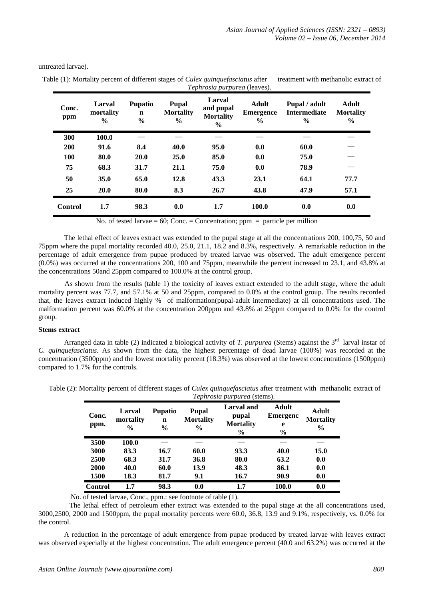| Conc.<br>ppm   | Larval<br>mortality<br>$\frac{0}{0}$ | <b>Pupatio</b><br>$\mathbf n$<br>$\frac{0}{0}$ | Pupal<br><b>Mortality</b><br>$\frac{6}{9}$ | Larval<br>and pupal<br><b>Mortality</b><br>$\frac{6}{6}$ | <b>Adult</b><br><b>Emergence</b><br>$\frac{6}{9}$ | Pupal / adult<br><b>Intermediate</b><br>$\frac{6}{9}$ | <b>Adult</b><br><b>Mortality</b><br>$\frac{6}{9}$ |
|----------------|--------------------------------------|------------------------------------------------|--------------------------------------------|----------------------------------------------------------|---------------------------------------------------|-------------------------------------------------------|---------------------------------------------------|
| 300            | 100.0                                |                                                |                                            |                                                          |                                                   |                                                       |                                                   |
| 200            | 91.6                                 | 8.4                                            | 40.0                                       | 95.0                                                     | 0.0                                               | 60.0                                                  |                                                   |
| 100            | 80.0                                 | <b>20.0</b>                                    | 25.0                                       | 85.0                                                     | 0.0                                               | 75.0                                                  |                                                   |
| 75             | 68.3                                 | 31.7                                           | 21.1                                       | 75.0                                                     | 0.0                                               | 78.9                                                  |                                                   |
| 50             | 35.0                                 | 65.0                                           | 12.8                                       | 43.3                                                     | 23.1                                              | 64.1                                                  | 77.7                                              |
| 25             | 20.0                                 | 80.0                                           | 8.3                                        | 26.7                                                     | 43.8                                              | 47.9                                                  | 57.1                                              |
| <b>Control</b> | 1.7                                  | 98.3                                           | 0.0                                        | 1.7                                                      | 100.0                                             | 0.0                                                   | 0.0                                               |

untreated larvae).

Table (1): Mortality percent of different stages of *Culex quinquefasciatus* after treatment with methanolic extract of *[Tephrosia purpurea](http://europepmc.org/abstract/MED/23029912/?whatizit_url_Species=http://www.ncbi.nih.gov/Taxonomy/Browser/wwwtax.cgi?id=228354&lvl=0)* (leaves).

No. of tested larvae =  $60$ ; Conc. = Concentration; ppm = particle per million

The lethal effect of leaves extract was extended to the pupal stage at all the concentrations 200, 100,75, 50 and 75ppm where the pupal mortality recorded 40.0, 25.0, 21.1, 18.2 and 8.3%, respectively. A remarkable reduction in the percentage of adult emergence from pupae produced by treated larvae was observed. The adult emergence percent (0.0%) was occurred at the concentrations 200, 100 and 75ppm, meanwhile the percent increased to 23.1, and 43.8% at the concentrations 50and 25ppm compared to 100.0% at the control group.

As shown from the results (table 1) the toxicity of leaves extract extended to the adult stage, where the adult mortality percent was 77.7, and 57.1% at 50 and 25ppm, compared to 0.0% at the control group. The results recorded that, the leaves extract induced highly % of malformation(pupal-adult intermediate) at all concentrations used. The malformation percent was 60.0% at the concentration 200ppm and 43.8% at 25ppm compared to 0.0% for the control group.

## **Stems extract**

Arranged data in table (2) indicated a biological activity of *[T. purpurea](http://europepmc.org/abstract/MED/23029912/?whatizit_url_Species=http://www.ncbi.nih.gov/Taxonomy/Browser/wwwtax.cgi?id=228354&lvl=0)* (Stems) against the 3<sup>rd</sup> larval instar of *C. quinquefasciatus*. As shown from the data, the highest percentage of dead larvae (100%) was recorded at the concentration (3500ppm) and the lowest mortality percent (18.3%) was observed at the lowest concentrations (1500ppm) compared to 1.7% for the controls.

|                | <i>Tephrosia purpurea</i> (stems).   |                                                |                                                   |                                                          |                                                |                                   |
|----------------|--------------------------------------|------------------------------------------------|---------------------------------------------------|----------------------------------------------------------|------------------------------------------------|-----------------------------------|
| Conc.<br>ppm.  | Larval<br>mortality<br>$\frac{6}{9}$ | <b>Pupatio</b><br>$\mathbf n$<br>$\frac{0}{0}$ | <b>Pupal</b><br><b>Mortality</b><br>$\frac{6}{9}$ | Larval and<br>pupal<br><b>Mortality</b><br>$\frac{6}{9}$ | Adult<br><b>Emergenc</b><br>e<br>$\frac{6}{9}$ | Adult<br><b>Mortality</b><br>$\%$ |
| 3500           | 100.0                                |                                                |                                                   |                                                          |                                                |                                   |
| 3000           | 83.3                                 | 16.7                                           | 60.0                                              | 93.3                                                     | 40.0                                           | 15.0                              |
| 2500           | 68.3                                 | 31.7                                           | 36.8                                              | 80.0                                                     | 63.2                                           | 0.0                               |
| 2000           | 40.0                                 | 60.0                                           | 13.9                                              | 48.3                                                     | 86.1                                           | 0.0                               |
| 1500           | 18.3                                 | 81.7                                           | 9.1                                               | 16.7                                                     | 90.9                                           | 0.0                               |
| <b>Control</b> | 1.7                                  | 98.3                                           | 0.0                                               | 1.7                                                      | 100.0                                          | 0.0                               |

Table (2): Mortality percent of different stages of *Culex quinquefasciatus* after treatment with methanolic extract of

No. of tested larvae, Conc., ppm.: see footnote of table (1).

The lethal effect of petroleum ether extract was extended to the pupal stage at the all concentrations used, 3000,2500, 2000 and 1500ppm, the pupal mortality percents were 60.0, 36.8, 13.9 and 9.1%, respectively, vs. 0.0% for the control.

A reduction in the percentage of adult emergence from pupae produced by treated larvae with leaves extract was observed especially at the highest concentration. The adult emergence percent (40.0 and 63.2%) was occurred at the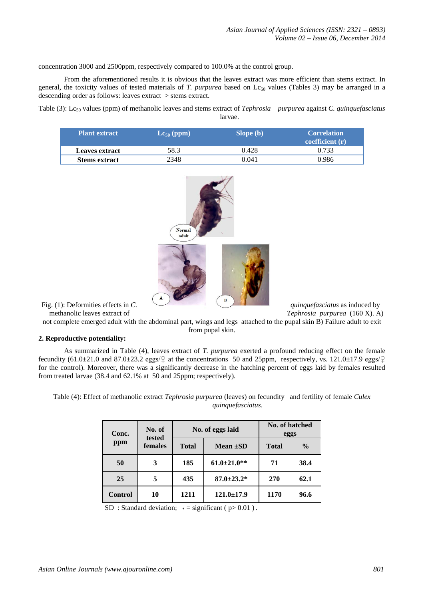concentration 3000 and 2500ppm, respectively compared to 100.0% at the control group.

From the aforementioned results it is obvious that the leaves extract was more efficient than stems extract. In general, the toxicity values of tested materials of *[T. purpurea](http://europepmc.org/abstract/MED/23029912/?whatizit_url_Species=http://www.ncbi.nih.gov/Taxonomy/Browser/wwwtax.cgi?id=228354&lvl=0)* based on  $Lc_{50}$  values (Tables 3) may be arranged in a descending order as follows: leaves extract > stems extract.

Table (3): Lc<sub>50</sub> values (ppm) of methanolic leaves and stems extract of *[Tephrosia purpurea](http://europepmc.org/abstract/MED/23029912/?whatizit_url_Species=http://www.ncbi.nih.gov/Taxonomy/Browser/wwwtax.cgi?id=228354&lvl=0)* against *C. quinquefasciatus* larvae.

| <b>Plant extract</b> | $\text{Lc}_{50}$ (ppm) | Slope (b) | <b>Correlation</b><br>coefficient $(r)$ |
|----------------------|------------------------|-----------|-----------------------------------------|
| Leaves extract       | 58.3                   | 0.428     | 0.733                                   |
| <b>Stems extract</b> | 2348                   | 0.041     | 0.986                                   |



not complete emerged adult with the abdominal part, wings and legs attached to the pupal skin B) Failure adult to exit from pupal skin.

#### **2. Reproductive potentiality:**

As summarized in Table (4), leaves extract of *[T. purpurea](http://europepmc.org/abstract/MED/23029912/?whatizit_url_Species=http://www.ncbi.nih.gov/Taxonomy/Browser/wwwtax.cgi?id=228354&lvl=0)* exerted a profound reducing effect on the female fecundity  $(61.0\pm21.0$  and  $87.0\pm23.2$  eggs/ $\circ$  at the concentrations 50 and 25ppm, respectively, vs. 121.0±17.9 eggs/ $\circ$ for the control). Moreover, there was a significantly decrease in the hatching percent of eggs laid by females resulted from treated larvae (38.4 and 62.1% at 50 and 25ppm; respectively).

Table (4): Effect of methanolic extract *[Tephrosia purpurea](http://europepmc.org/abstract/MED/23029912/?whatizit_url_Species=http://www.ncbi.nih.gov/Taxonomy/Browser/wwwtax.cgi?id=228354&lvl=0)* (leaves) on fecundity and fertility of female *Culex quinquefasciatus*.

| Conc.<br>ppm   | No. of<br>tested |              | No. of eggs laid   |              | <b>No. of hatched</b><br>eggs |  |
|----------------|------------------|--------------|--------------------|--------------|-------------------------------|--|
|                | females          | <b>Total</b> | Mean $\pm SD$      | <b>Total</b> | $\frac{0}{0}$                 |  |
| 50             | 3                | 185          | $61.0 \pm 21.0$ ** | 71           | 38.4                          |  |
| 25             | 5                | 435          | $87.0 \pm 23.2^*$  | 270          | 62.1                          |  |
| <b>Control</b> | 10               | 1211         | $121.0 \pm 17.9$   | 1170         | 96.6                          |  |

SD : Standard deviation;  $* =$  significant ( $p > 0.01$ ).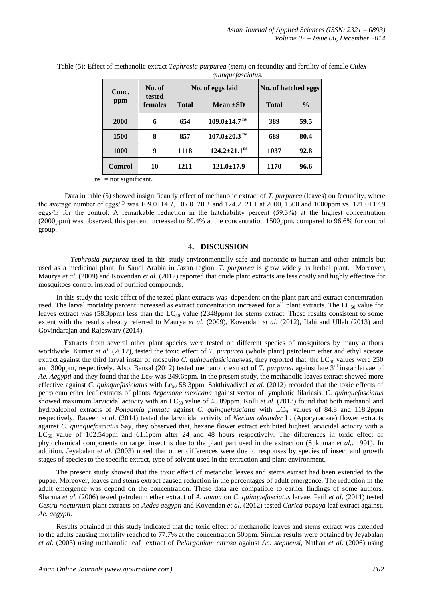| Conc.<br>ppm   | No. of<br>tested<br><b>females</b> |              | No. of eggs laid               | No. of hatched eggs |               |
|----------------|------------------------------------|--------------|--------------------------------|---------------------|---------------|
|                |                                    | <b>Total</b> | Mean $\pm SD$                  | <b>Total</b>        | $\frac{0}{0}$ |
| 2000           | 6                                  | 654          | $109.0 \pm 14.7$ <sup>ns</sup> | 389                 | 59.5          |
| 1500           | 8                                  | 857          | $107.0 \pm 20.3$ <sup>ns</sup> | 689                 | 80.4          |
| <b>1000</b>    | 9                                  | 1118         | $124.2 \pm 21.1^{\text{ns}}$   | 1037                | 92.8          |
| <b>Control</b> | 10                                 | 1211         | $121.0 \pm 17.9$               | 1170                | 96.6          |

Table (5): Effect of methanolic extract *[Tephrosia purpurea](http://europepmc.org/abstract/MED/23029912/?whatizit_url_Species=http://www.ncbi.nih.gov/Taxonomy/Browser/wwwtax.cgi?id=228354&lvl=0)* (stem) on fecundity and fertility of female *Culex quinquefasciatus*.

 $ns = not significant.$ 

Data in table (5) showed insignificantly effect of methanolic extract of *[T. purpurea](http://europepmc.org/abstract/MED/23029912/?whatizit_url_Species=http://www.ncbi.nih.gov/Taxonomy/Browser/wwwtax.cgi?id=228354&lvl=0)* (leaves) on fecundity, where the average number of eggs/♀ was 109.0±14.7, 107.0±20.3 and 124.2±21.1 at 2000, 1500 and 1000ppm vs. 121.0±17.9 eggs/ $\varphi$  for the control. A remarkable reduction in the hatchability percent (59.3%) at the highest concentration (2000ppm) was observed, this percent increased to 80.4% at the concentration 1500ppm. compared to 96.6% for control group.

## **4. DISCUSSION**

*[Tephrosia purpurea](http://europepmc.org/abstract/MED/23029912/?whatizit_url_Species=http://www.ncbi.nih.gov/Taxonomy/Browser/wwwtax.cgi?id=228354&lvl=0)* used in this study environmentally safe and nontoxic to human and other animals but used as a medicinal plant. In Saudi Arabia in Jazan region, *[T. purpurea](http://europepmc.org/abstract/MED/23029912/?whatizit_url_Species=http://www.ncbi.nih.gov/Taxonomy/Browser/wwwtax.cgi?id=228354&lvl=0)* is grow widely as herbal plant. Moreover, Maurya *et al.* (2009) and Kovendan *et al*. (2012) reported that crude plant extracts are less costly and highly effective for mosquitoes control instead of purified compounds.

 In this study the toxic effect of the tested plant extracts was dependent on the plant part and extract concentration used. The larval mortality percent increased as extract concentration increased for all plant extracts. The  $LC_{50}$  value for leaves extract was (58.3ppm) less than the  $LC_{50}$  value (2348ppm) for stems extract. These results consistent to some extent with the results already referred to Maurya *et al.* (2009), Kovendan *et al*. (2012), Ilahi and Ullah (2013) and Govindarajan and Rajeswary (2014).

Extracts from several other plant species were tested on different species of mosquitoes by many authors worldwide. Kumar *et al.* (2012), tested the toxic effect of *T. [purpurea](http://europepmc.org/abstract/MED/23029912/?whatizit_url_Species=http://www.ncbi.nih.gov/Taxonomy/Browser/wwwtax.cgi?id=228354&lvl=0)* (whole plant) petroleum ether and ethyl acetate extract against the third larval instar of mosquito *C. quinquefasiciatus* was, they reported that, the LC<sub>50</sub> values were 250 and 300ppm, respectively. Also, Bansal (2012) tested methanolic extract of *T. [purpurea](http://europepmc.org/abstract/MED/23029912/?whatizit_url_Species=http://www.ncbi.nih.gov/Taxonomy/Browser/wwwtax.cgi?id=228354&lvl=0)* against late 3rd instar larvae of *Ae. Aegypti* and they found that the Lc<sub>50</sub> was 249.6ppm. In the present study, the methanolic leaves extract showed more effective against *C. quinquefasiciatus* with Lc<sub>50</sub> 58.3ppm. Sakthivadivel *et al.* (2012) recorded that the toxic effects of petroleum ether leaf extracts of plants *Argemone mexicana* against vector of lymphatic filariasis, *C. quinquefasciatus* showed maximum larvicidal activity with an LC<sub>50</sub> value of 48.89ppm. Kolli *et al.* (2013) found that both methanol and hydroalcohol extracts of *Pongamia pinnata* against *C. quinquefasciatus* with LC<sub>50</sub> values of 84.8 and 118.2ppm respectively. Raveen *et al*. (2014) tested the larvicidal activity of *Nerium oleander* L. (Apocynaceae) flower extracts against *C. quinquefasciatus* Say, they observed that, hexane flower extract exhibited highest larvicidal activity with a  $LC_{50}$  value of 102.54ppm and 61.1ppm after 24 and 48 hours respectively. The differences in toxic effect of phytochemical components on target insect is due to the plant part used in the extraction (Sukumar *et al,*. 1991). In addition, Jeyabalan *et al*. (2003) noted that other differences were due to responses by species of insect and growth stages of species to the specific extract, type of solvent used in the extraction and plant environment.

 The present study showed that the toxic effect of metanolic leaves and stems extract had been extended to the pupae. Moreover, leaves and stems extract caused reduction in the percentages of adult emergence. The reduction in the adult emergence was depend on the concentration. These data are compatible to earlier findings of some authors. Sharma *et al.* (2006) tested petroleum ether extract of *A. annua* on *C. quinquefasciatus* larvae, Patil *et al*. (2011) tested *Cestru nocturnum* plant extracts on *Aedes aegypti* and Kovendan *et al*. (2012) tested *Carica papaya* leaf extract against, *Ae. aegypti*.

 Results obtained in this study indicated that the toxic effect of methanolic leaves and stems extract was extended to the adults causing mortality reached to 77.7% at the concentration 50ppm. Similar results were obtained by Jeyabalan *et al*. (2003) using methanolic leaf extract of *Pelargonium citrosa* against *An. stephensi*, Nathan *et al*. (2006) using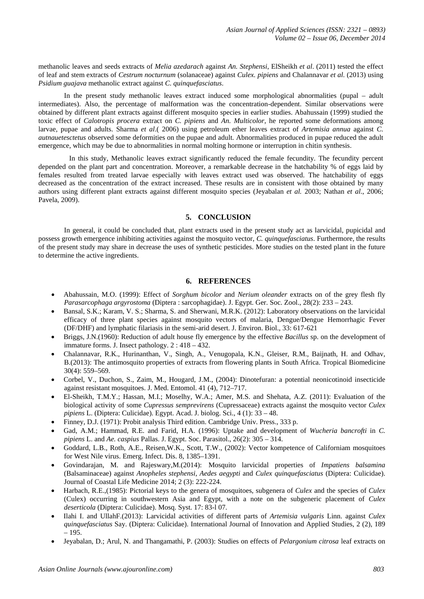methanolic leaves and seeds extracts of *Melia azedarach* against *An. Stephensi*, ElSheikh *et al*. (2011) tested the effect of leaf and stem extracts of *Cestrum nocturnum* (solanaceae) against *Culex. pipiens* and Chalannavar *et al*. (2013) using *Psidium guajava* methanolic extract against *C. quinquefasciatus*.

In the present study methanolic leaves extract induced some morphological abnormalities (pupal – adult intermediates). Also, the percentage of malformation was the concentration-dependent. Similar observations were obtained by different plant extracts against different mosquito species in earlier studies. Abahussain (1999) studied the toxic effect of *Calotropis procera* extract on *C. pipiens* and *An. Multicolor,* he reported some deformations among larvae, pupae and adults. Sharma *et al*.( 2006) using petroleum ether leaves extract of *Artemisia annua* against *C. autnauetesctetus* observed some deformities on the pupae and adult. Abnormalities produced in pupae reduced the adult emergence, which may be due to abnormalities in normal molting hormone or interruption in chitin synthesis.

In this study, Methanolic leaves extract significantly reduced the female fecundity. The fecundity percent depended on the plant part and concentration. Moreover, a remarkable decrease in the hatchability % of eggs laid by females resulted from treated larvae especially with leaves extract used was observed. The hatchability of eggs decreased as the concentration of the extract increased. These results are in consistent with those obtained by many authors using different plant extracts against different mosquito species (Jeyabalan *et al.* 2003; Nathan *et al*., 2006; Pavela, 2009).

# **5. CONCLUSION**

In general, it could be concluded that, plant extracts used in the present study act as larvicidal, pupicidal and possess growth emergence inhibiting activities against the mosquito vector, *C. quinquefasciatus*. Furthermore, the results of the present study may share in decrease the uses of synthetic pesticides. More studies on the tested plant in the future to determine the active ingredients.

## **6. REFERENCES**

- Abahussain, M.O. (1999): Effect of *Sorghum bicolor* and *Nerium oleander* extracts on of the grey flesh fly *Parasarcophaga argyrostoma* (Diptera : sarcophagidae). J. Egypt. Ger. Soc. Zool., 28(2): 233 – 243.
- Bansal, S.K.; Karam, V. S.; Sharma, S. and Sherwani, M.R.K. (2012): Laboratory observations on the larvicidal efficacy of three plant species against mosquito vectors of malaria, Dengue/Dengue Hemorrhagic Fever (DF/DHF) and lymphatic filariasis in the semi-arid desert. J. Environ. Biol., 33: 617-621
- Briggs, J.N.(1960): Reduction of adult house fly emergence by the effective *Bacillus* sp. on the development of immature forms. J. Insect pathology. 2 : 418 – 432.
- Chalannavar, R.K., Hurinanthan, V., Singh, A., Venugopala, K.N., Gleiser, R.M., Baijnath, H. and Odhav, B.(2013): The antimosquito properties of extracts from flowering plants in South Africa. Tropical Biomedicine 30(4): 559–569.
- Corbel, V., Duchon, S., Zaim, M., Hougard, J.M., (2004): Dinotefuran: a potential neonicotinoid insecticide against resistant mosquitoes. J. Med. Entomol. 41 (4), 712–717.
- El-Sheikh, T.M.Y.; Hassan, M.I.; Moselhy, W.A.; Amer, M.S. and Shehata, A.Z. (2011): Evaluation of the biological activity of some *Cupressus semprevirens* (Cupressaceae) extracts against the mosquito vector *Culex pipiens* L. (Diptera: Culicidae). Egypt. Acad. J. biolog. Sci., 4 (1): 33 – 48.
- Finney, D.J. (1971): Probit analysis Third edition. Cambridge Univ. Press., 333 p.
- Gad, A.M.; Hammad, R.E. and Farid, H.A. (1996): Uptake and development of *Wucheria bancrofti* in *C. pipiens* L. and *Ae. caspius* Pallas. J. Egypt. Soc. Parasitol., 26(2): 305 – 314.
- Goddard, L.B., Roth, A.E., Reisen,W.K., Scott, T.W., (2002): Vector kompetence of Californiam mosquitoes for West Nile virus. Emerg. Infect. Dis. 8, 1385–1391.
- Govindarajan, M. and Rajeswary,M.(2014): Mosquito larvicidal properties of *Impatiens balsamina* (Balsaminaceae) against *Anopheles stephensi*, *Aedes aegypti* and *Culex quinquefasciatus* (Diptera: Culicidae). Journal of Coastal Life Medicine 2014; 2 (3): 222-224.
- Harbach, R.E.,(1985): Pictorial keys to the genera of mosquitoes, subgenera of *Culex* and the species of *Culex* (Culex) occurring in southwestern Asia and Egypt, with a note on the subgeneric placement of *Culex deserticola* (Diptera: Culicidae). Mosq. Syst. 17: 83-l 07.
- Ilahi I. and UllahF.(2013): Larvicidal activities of different parts of *Artemisia vulgaris* Linn. against *Culex quinquefasciatus* Say. (Diptera: Culicidae). International Journal of Innovation and Applied Studies, 2 (2), 189 – 195.
- Jeyabalan, D.; Arul, N. and Thangamathi, P. (2003): Studies on effects of *Pelargonium citrosa* leaf extracts on